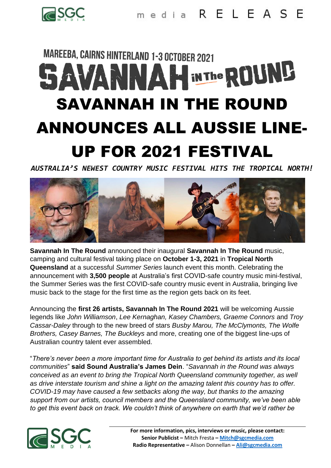

## **MAREEBA, CAIRNS HINTERLAND 1-3 OCTOBER 2021 SAVANNAH INTHE ROUND** SAVANNAH IN THE ROUND ANNOUNCES ALL AUSSIE LINE-UP FOR 2021 FESTIVAL

*AUSTRALIA'S NEWEST COUNTRY MUSIC FESTIVAL HITS THE TROPICAL NORTH!*



**Savannah In The Round** announced their inaugural **Savannah In The Round** music, camping and cultural festival taking place on **October 1-3, 2021** in **Tropical North Queensland** at a successful *Summer Series* launch event this month. Celebrating the announcement with **3,500 people** at Australia's first COVID-safe country music mini-festival, the Summer Series was the first COVID-safe country music event in Australia, bringing live music back to the stage for the first time as the region gets back on its feet.

Announcing the **first 26 artists, Savannah In The Round 2021** will be welcoming Aussie legends like *John Williamson*, *Lee Kernaghan, Kasey Chambers, Graeme Connors* and *Troy Cassar-Daley* through to the new breed of stars *Busby Marou, The McClymonts, The Wolfe Brothers, Casey Barnes, The Buckleys* and more, creating one of the biggest line-ups of Australian country talent ever assembled.

"*There's never been a more important time for Australia to get behind its artists and its local communities*" **said Sound Australia's James Dein**. "*Savannah in the Round was always conceived as an event to bring the Tropical North Queensland community together, as well as drive interstate tourism and shine a light on the amazing talent this country has to offer. COVID-19 may have caused a few setbacks along the way, but thanks to the amazing support from our artists, council members and the Queensland community, we've been able to get this event back on track. We couldn't think of anywhere on earth that we'd rather be*